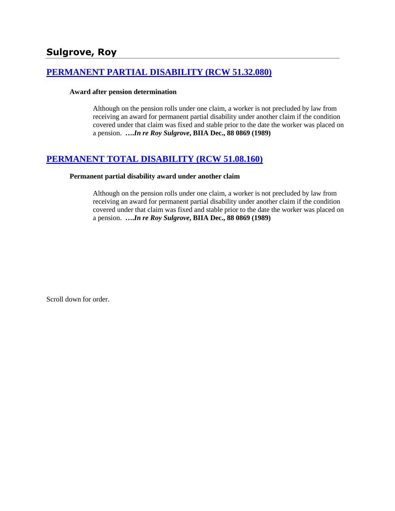# **[PERMANENT PARTIAL DISABILITY \(RCW 51.32.080\)](http://www.biia.wa.gov/SDSubjectIndex.html#PERMANENT_PARTIAL_DISABILITY)**

#### **Award after pension determination**

Although on the pension rolls under one claim, a worker is not precluded by law from receiving an award for permanent partial disability under another claim if the condition covered under that claim was fixed and stable prior to the date the worker was placed on a pension. **….***In re Roy Sulgrove***, BIIA Dec., 88 0869 (1989)** 

# **[PERMANENT TOTAL DISABILITY \(RCW 51.08.160\)](http://www.biia.wa.gov/SDSubjectIndex.html#PERMANENT_TOTAL_DISABILITY)**

#### **Permanent partial disability award under another claim**

Although on the pension rolls under one claim, a worker is not precluded by law from receiving an award for permanent partial disability under another claim if the condition covered under that claim was fixed and stable prior to the date the worker was placed on a pension. **….***In re Roy Sulgrove***, BIIA Dec., 88 0869 (1989)** 

Scroll down for order.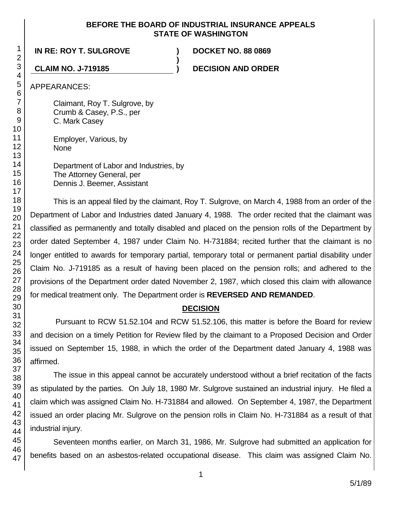#### **BEFORE THE BOARD OF INDUSTRIAL INSURANCE APPEALS STATE OF WASHINGTON**

**)**

## **IN RE: ROY T. SULGROVE ) DOCKET NO. 88 0869**

**CLAIM NO. J-719185 ) DECISION AND ORDER**

APPEARANCES:

Claimant, Roy T. Sulgrove, by Crumb & Casey, P.S., per C. Mark Casey

Employer, Various, by None

Department of Labor and Industries, by The Attorney General, per Dennis J. Beemer, Assistant

This is an appeal filed by the claimant, Roy T. Sulgrove, on March 4, 1988 from an order of the Department of Labor and Industries dated January 4, 1988. The order recited that the claimant was classified as permanently and totally disabled and placed on the pension rolls of the Department by order dated September 4, 1987 under Claim No. H-731884; recited further that the claimant is no longer entitled to awards for temporary partial, temporary total or permanent partial disability under Claim No. J-719185 as a result of having been placed on the pension rolls; and adhered to the provisions of the Department order dated November 2, 1987, which closed this claim with allowance for medical treatment only. The Department order is **REVERSED AND REMANDED**.

#### **DECISION**

Pursuant to RCW 51.52.104 and RCW 51.52.106, this matter is before the Board for review and decision on a timely Petition for Review filed by the claimant to a Proposed Decision and Order issued on September 15, 1988, in which the order of the Department dated January 4, 1988 was affirmed.

The issue in this appeal cannot be accurately understood without a brief recitation of the facts as stipulated by the parties. On July 18, 1980 Mr. Sulgrove sustained an industrial injury. He filed a claim which was assigned Claim No. H-731884 and allowed. On September 4, 1987, the Department issued an order placing Mr. Sulgrove on the pension rolls in Claim No. H-731884 as a result of that industrial injury.

Seventeen months earlier, on March 31, 1986, Mr. Sulgrove had submitted an application for benefits based on an asbestos-related occupational disease. This claim was assigned Claim No.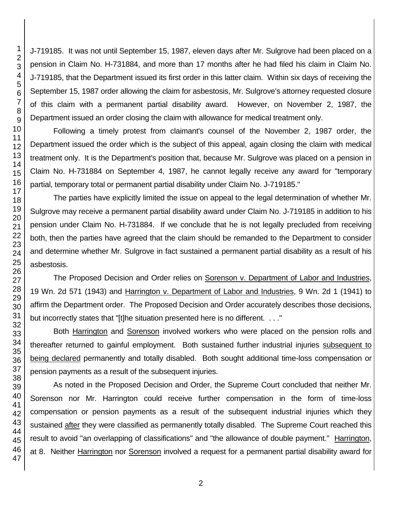J-719185. It was not until September 15, 1987, eleven days after Mr. Sulgrove had been placed on a pension in Claim No. H-731884, and more than 17 months after he had filed his claim in Claim No. J-719185, that the Department issued its first order in this latter claim. Within six days of receiving the September 15, 1987 order allowing the claim for asbestosis, Mr. Sulgrove's attorney requested closure of this claim with a permanent partial disability award. However, on November 2, 1987, the Department issued an order closing the claim with allowance for medical treatment only.

Following a timely protest from claimant's counsel of the November 2, 1987 order, the Department issued the order which is the subject of this appeal, again closing the claim with medical treatment only. It is the Department's position that, because Mr. Sulgrove was placed on a pension in Claim No. H-731884 on September 4, 1987, he cannot legally receive any award for "temporary partial, temporary total or permanent partial disability under Claim No. J-719185."

The parties have explicitly limited the issue on appeal to the legal determination of whether Mr. Sulgrove may receive a permanent partial disability award under Claim No. J-719185 in addition to his pension under Claim No. H-731884. If we conclude that he is not legally precluded from receiving both, then the parties have agreed that the claim should be remanded to the Department to consider and determine whether Mr. Sulgrove in fact sustained a permanent partial disability as a result of his asbestosis.

The Proposed Decision and Order relies on Sorenson v. Department of Labor and Industries, 19 Wn. 2d 571 (1943) and Harrington v. Department of Labor and Industries, 9 Wn. 2d 1 (1941) to affirm the Department order. The Proposed Decision and Order accurately describes those decisions, but incorrectly states that "[t]he situation presented here is no different. . . ."

Both Harrington and Sorenson involved workers who were placed on the pension rolls and thereafter returned to gainful employment. Both sustained further industrial injuries subsequent to being declared permanently and totally disabled. Both sought additional time-loss compensation or pension payments as a result of the subsequent injuries.

As noted in the Proposed Decision and Order, the Supreme Court concluded that neither Mr. Sorenson nor Mr. Harrington could receive further compensation in the form of time-loss compensation or pension payments as a result of the subsequent industrial injuries which they sustained after they were classified as permanently totally disabled. The Supreme Court reached this result to avoid "an overlapping of classifications" and "the allowance of double payment." Harrington, at 8. Neither Harrington nor Sorenson involved a request for a permanent partial disability award for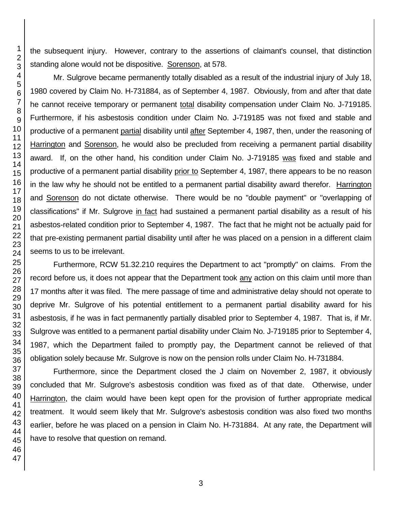the subsequent injury. However, contrary to the assertions of claimant's counsel, that distinction standing alone would not be dispositive. Sorenson, at 578.

Mr. Sulgrove became permanently totally disabled as a result of the industrial injury of July 18, 1980 covered by Claim No. H-731884, as of September 4, 1987. Obviously, from and after that date he cannot receive temporary or permanent total disability compensation under Claim No. J-719185. Furthermore, if his asbestosis condition under Claim No. J-719185 was not fixed and stable and productive of a permanent partial disability until after September 4, 1987, then, under the reasoning of Harrington and Sorenson, he would also be precluded from receiving a permanent partial disability award. If, on the other hand, his condition under Claim No. J-719185 was fixed and stable and productive of a permanent partial disability prior to September 4, 1987, there appears to be no reason in the law why he should not be entitled to a permanent partial disability award therefor. Harrington and Sorenson do not dictate otherwise. There would be no "double payment" or "overlapping of classifications" if Mr. Sulgrove in fact had sustained a permanent partial disability as a result of his asbestos-related condition prior to September 4, 1987. The fact that he might not be actually paid for that pre-existing permanent partial disability until after he was placed on a pension in a different claim seems to us to be irrelevant.

Furthermore, RCW 51.32.210 requires the Department to act "promptly" on claims. From the record before us, it does not appear that the Department took any action on this claim until more than 17 months after it was filed. The mere passage of time and administrative delay should not operate to deprive Mr. Sulgrove of his potential entitlement to a permanent partial disability award for his asbestosis, if he was in fact permanently partially disabled prior to September 4, 1987. That is, if Mr. Sulgrove was entitled to a permanent partial disability under Claim No. J-719185 prior to September 4, 1987, which the Department failed to promptly pay, the Department cannot be relieved of that obligation solely because Mr. Sulgrove is now on the pension rolls under Claim No. H-731884.

Furthermore, since the Department closed the J claim on November 2, 1987, it obviously concluded that Mr. Sulgrove's asbestosis condition was fixed as of that date. Otherwise, under Harrington, the claim would have been kept open for the provision of further appropriate medical treatment. It would seem likely that Mr. Sulgrove's asbestosis condition was also fixed two months earlier, before he was placed on a pension in Claim No. H-731884. At any rate, the Department will have to resolve that question on remand.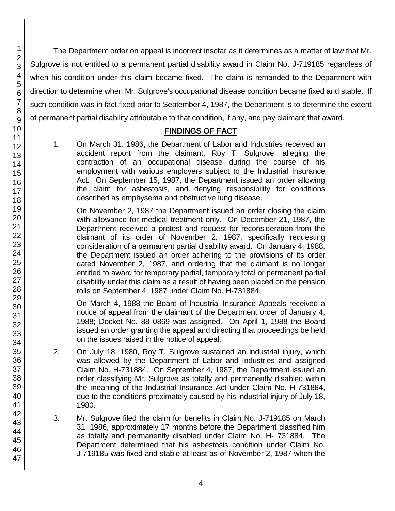1 2

The Department order on appeal is incorrect insofar as it determines as a matter of law that Mr. Sulgrove is not entitled to a permanent partial disability award in Claim No. J-719185 regardless of when his condition under this claim became fixed. The claim is remanded to the Department with direction to determine when Mr. Sulgrove's occupational disease condition became fixed and stable. If such condition was in fact fixed prior to September 4, 1987, the Department is to determine the extent of permanent partial disability attributable to that condition, if any, and pay claimant that award.

## **FINDINGS OF FACT**

1. On March 31, 1986, the Department of Labor and Industries received an accident report from the claimant, Roy T. Sulgrove, alleging the contraction of an occupational disease during the course of his employment with various employers subject to the Industrial Insurance Act. On September 15, 1987, the Department issued an order allowing the claim for asbestosis, and denying responsibility for conditions described as emphysema and obstructive lung disease.

On November 2, 1987 the Department issued an order closing the claim with allowance for medical treatment only. On December 21, 1987, the Department received a protest and request for reconsideration from the claimant of its order of November 2, 1987, specifically requesting consideration of a permanent partial disability award. On January 4, 1988, the Department issued an order adhering to the provisions of its order dated November 2, 1987, and ordering that the claimant is no longer entitled to award for temporary partial, temporary total or permanent partial disability under this claim as a result of having been placed on the pension rolls on September 4, 1987 under Claim No. H-731884.

On March 4, 1988 the Board of Industrial Insurance Appeals received a notice of appeal from the claimant of the Department order of January 4, 1988; Docket No. 88 0869 was assigned. On April 1, 1988 the Board issued an order granting the appeal and directing that proceedings be held on the issues raised in the notice of appeal.

- 2. On July 18, 1980, Roy T. Sulgrove sustained an industrial injury, which was allowed by the Department of Labor and Industries and assigned Claim No. H-731884. On September 4, 1987, the Department issued an order classifying Mr. Sulgrove as totally and permanently disabled within the meaning of the Industrial Insurance Act under Claim No. H-731884, due to the conditions proximately caused by his industrial injury of July 18, 1980.
- 3. Mr. Sulgrove filed the claim for benefits in Claim No. J-719185 on March 31, 1986, approximately 17 months before the Department classified him as totally and permanently disabled under Claim No. H- 731884. The Department determined that his asbestosis condition under Claim No. J-719185 was fixed and stable at least as of November 2, 1987 when the